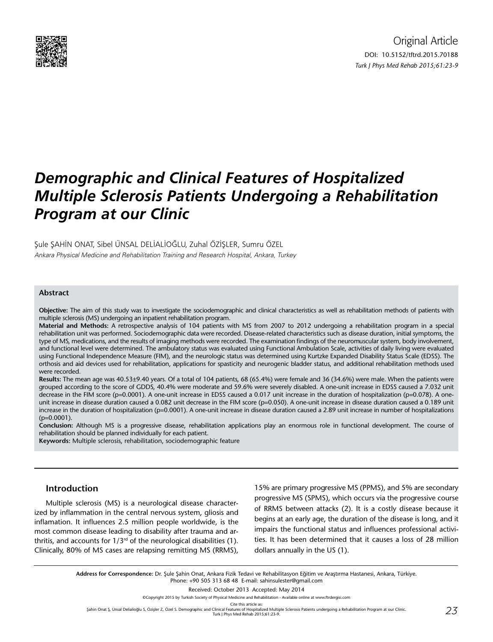

# *Demographic and Clinical Features of Hospitalized Multiple Sclerosis Patients Undergoing a Rehabilitation Program at our Clinic*

Şule ŞAHİN ONAT, Sibel ÜNSAL DELİALİOĞLU, Zuhal ÖZİŞLER, Sumru ÖZEL

Ankara Physical Medicine and Rehabilitation Training and Research Hospital, Ankara, Turkey

### **Abstract**

**Objective:** The aim of this study was to investigate the sociodemographic and clinical characteristics as well as rehabilitation methods of patients with multiple sclerosis (MS) undergoing an inpatient rehabilitation program.

**Material and Methods:** A retrospective analysis of 104 patients with MS from 2007 to 2012 undergoing a rehabilitation program in a special rehabilitation unit was performed. Sociodemographic data were recorded. Disease-related characteristics such as disease duration, initial symptoms, the type of MS, medications, and the results of imaging methods were recorded. The examination findings of the neuromuscular system, body involvement, and functional level were determined. The ambulatory status was evaluated using Functional Ambulation Scale, activities of daily living were evaluated using Functional Independence Measure (FIM), and the neurologic status was determined using Kurtzke Expanded Disability Status Scale (EDSS). The orthosis and aid devices used for rehabilitation, applications for spasticity and neurogenic bladder status, and additional rehabilitation methods used were recorded.

**Results:** The mean age was 40.53±9.40 years. Of a total of 104 patients, 68 (65.4%) were female and 36 (34.6%) were male. When the patients were grouped according to the score of GDDS, 40.4% were moderate and 59.6% were severely disabled. A one-unit increase in EDSS caused a 7.032 unit decrease in the FIM score (p=0.0001). A one-unit increase in EDSS caused a 0.017 unit increase in the duration of hospitalization (p=0.078). A oneunit increase in disease duration caused a 0.082 unit decrease in the FIM score (p=0.050). A one-unit increase in disease duration caused a 0.189 unit increase in the duration of hospitalization (p=0.0001). A one-unit increase in disease duration caused a 2.89 unit increase in number of hospitalizations  $(p=0.0001)$ .

**Conclusion:** Although MS is a progressive disease, rehabilitation applications play an enormous role in functional development. The course of rehabilitation should be planned individually for each patient.

**Keywords:** Multiple sclerosis, rehabilitation, sociodemographic feature

## **Introduction**

Multiple sclerosis (MS) is a neurological disease characterized by inflammation in the central nervous system, gliosis and inflamation. It influences 2.5 million people worldwide, is the most common disease leading to disability after trauma and arthritis, and accounts for  $1/3^{rd}$  of the neurological disabilities (1). Clinically, 80% of MS cases are relapsing remitting MS (RRMS), 15% are primary progressive MS (PPMS), and 5% are secondary progressive MS (SPMS), which occurs via the progressive course of RRMS between attacks (2). It is a costly disease because it begins at an early age, the duration of the disease is long, and it impairs the functional status and influences professional activities. It has been determined that it causes a loss of 28 million dollars annually in the US (1).

**Address for Correspondence:** Dr. Şule Şahin Onat, Ankara Fizik Tedavi ve Rehabilitasyon Eğitim ve Araştırma Hastanesi, Ankara, Türkiye. Phone: +90 505 313 68 48 E-mail: sahinsulester@gmail.com

Received: October 2013 Accepted: May 2014

©Copyright 2015 by Turkish Society of Physical Medicine and Rehabilitation - Available online at www.ftrdergisi.com

Cite this article as:

Şahin Onat Ş, Ünsal Delialioğlu S, Özişler Z, Özel S. Demographic and Clinical Features of Hospitalized Multiple Sclerosis Patients undergoing a Rehabilitation Program at our Clinic. Turk J Phys Med Rehab 2015;61:23-9.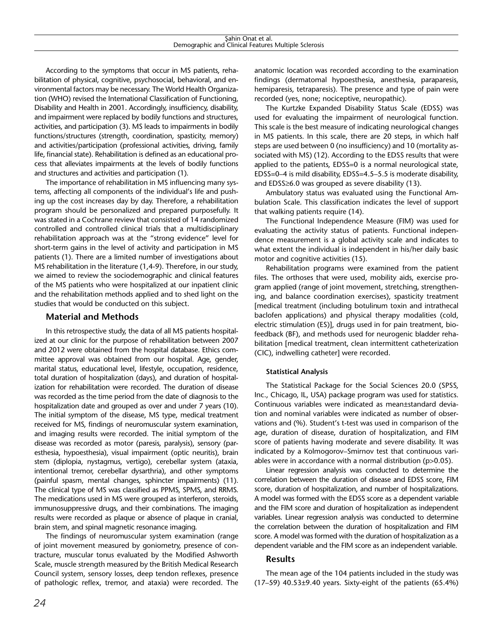According to the symptoms that occur in MS patients, rehabilitation of physical, cognitive, psychosocial, behavioral, and environmental factors may be necessary. The World Health Organization (WHO) revised the International Classification of Functioning, Disability and Health in 2001. Accordingly, insufficiency, disability, and impairment were replaced by bodily functions and structures, activities, and participation (3). MS leads to impairments in bodily functions/structures (strength, coordination, spasticity, memory) and activities/participation (professional activities, driving, family life, financial state). Rehabilitation is defined as an educational process that alleviates impairments at the levels of bodily functions and structures and activities and participation (1).

The importance of rehabilitation in MS influencing many systems, affecting all components of the individual's life and pushing up the cost increases day by day. Therefore, a rehabilitation program should be personalized and prepared purposefully. It was stated in a Cochrane review that consisted of 14 randomized controlled and controlled clinical trials that a multidisciplinary rehabilitation approach was at the "strong evidence" level for short-term gains in the level of activity and participation in MS patients (1). There are a limited number of investigations about MS rehabilitation in the literature (1,4-9). Therefore, in our study, we aimed to review the sociodemographic and clinical features of the MS patients who were hospitalized at our inpatient clinic and the rehabilitation methods applied and to shed light on the studies that would be conducted on this subject.

# **Material and Methods**

In this retrospective study, the data of all MS patients hospitalized at our clinic for the purpose of rehabilitation between 2007 and 2012 were obtained from the hospital database. Ethics committee approval was obtained from our hospital. Age, gender, marital status, educational level, lifestyle, occupation, residence, total duration of hospitalization (days), and duration of hospitalization for rehabilitation were recorded. The duration of disease was recorded as the time period from the date of diagnosis to the hospitalization date and grouped as over and under 7 years (10). The initial symptom of the disease, MS type, medical treatment received for MS, findings of neuromuscular system examination, and imaging results were recorded. The initial symptom of the disease was recorded as motor (paresis, paralysis), sensory (paresthesia, hypoesthesia), visual impairment (optic neuritis), brain stem (diplopia, nystagmus, vertigo), cerebellar system (ataxia, intentional tremor, cerebellar dysarthria), and other symptoms (painful spasm, mental changes, sphincter impairments) (11). The clinical type of MS was classified as PPMS, SPMS, and RRMS. The medications used in MS were grouped as interferon, steroids, immunosuppressive drugs, and their combinations. The imaging results were recorded as plaque or absence of plaque in cranial, brain stem, and spinal magnetic resonance imaging.

The findings of neuromuscular system examination (range of joint movement measured by goniometry, presence of contracture, muscular tonus evaluated by the Modified Ashworth Scale, muscle strength measured by the British Medical Research Council system, sensory losses, deep tendon reflexes, presence of pathologic reflex, tremor, and ataxia) were recorded. The anatomic location was recorded according to the examination findings (dermatomal hypoesthesia, anesthesia, paraparesis, hemiparesis, tetraparesis). The presence and type of pain were recorded (yes, none; nociceptive, neuropathic).

The Kurtzke Expanded Disability Status Scale (EDSS) was used for evaluating the impairment of neurological function. This scale is the best measure of indicating neurological changes in MS patients. In this scale, there are 20 steps, in which half steps are used between 0 (no insufficiency) and 10 (mortality associated with MS) (12). According to the EDSS results that were applied to the patients, EDSS=0 is a normal neurological state, EDSS=0–4 is mild disability, EDSS=4.5–5.5 is moderate disability, and EDSS≥6.0 was grouped as severe disability (13).

Ambulatory status was evaluated using the Functional Ambulation Scale. This classification indicates the level of support that walking patients require (14).

The Functional Independence Measure (FIM) was used for evaluating the activity status of patients. Functional independence measurement is a global activity scale and indicates to what extent the individual is independent in his/her daily basic motor and cognitive activities (15).

Rehabilitation programs were examined from the patient files. The orthoses that were used, mobility aids, exercise program applied (range of joint movement, stretching, strengthening, and balance coordination exercises), spasticity treatment [medical treatment (including botulinum toxin and intrathecal baclofen applications) and physical therapy modalities (cold, electric stimulation (ES)], drugs used in for pain treatment, biofeedback (BF), and methods used for neurogenic bladder rehabilitation [medical treatment, clean intermittent catheterization (CIC), indwelling catheter] were recorded.

# **Statistical Analysis**

The Statistical Package for the Social Sciences 20.0 (SPSS, Inc., Chicago, IL, USA) package program was used for statistics. Continuous variables were indicated as mean±standard deviation and nominal variables were indicated as number of observations and (%). Student's t-test was used in comparison of the age, duration of disease, duration of hospitalization, and FIM score of patients having moderate and severe disability. It was indicated by a Kolmogorov–Smirnov test that continuous variables were in accordance with a normal distribution (p>0.05).

Linear regression analysis was conducted to determine the correlation between the duration of disease and EDSS score, FIM score, duration of hospitalization, and number of hospitalizations. A model was formed with the EDSS score as a dependent variable and the FIM score and duration of hospitalization as independent variables. Linear regression analysis was conducted to determine the correlation between the duration of hospitalization and FIM score. A model was formed with the duration of hospitalization as a dependent variable and the FIM score as an independent variable.

# **Results**

The mean age of the 104 patients included in the study was (17–59) 40.53±9.40 years. Sixty-eight of the patients (65.4%)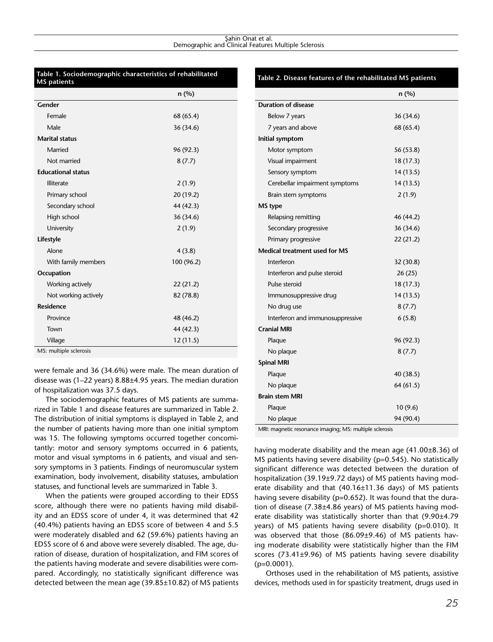#### Sahin Onat et al. Demographic and Clinical Features Multiple Sclerosis

|                           | n(%)       |
|---------------------------|------------|
| Gender                    |            |
| Female                    | 68 (65.4)  |
| Male                      | 36 (34.6)  |
| <b>Marital status</b>     |            |
| Married                   | 96 (92.3)  |
| Not married               | 8(7.7)     |
| <b>Educational status</b> |            |
| Illiterate                | 2(1.9)     |
| Primary school            | 20 (19.2)  |
| Secondary school          | 44 (42.3)  |
| High school               | 36 (34.6)  |
| University                | 2(1.9)     |
| Lifestyle                 |            |
| Alone                     | 4(3.8)     |
| With family members       | 100 (96.2) |
| Occupation                |            |
| Working actively          | 22(21.2)   |
| Not working actively      | 82 (78.8)  |
| <b>Residence</b>          |            |
| Province                  | 48 (46.2)  |
| Town                      | 44 (42.3)  |
| Village                   | 12(11.5)   |

were female and 36 (34.6%) were male. The mean duration of disease was (1–22 years) 8.88±4.95 years. The median duration of hospitalization was 37.5 days.

The sociodemographic features of MS patients are summarized in Table 1 and disease features are summarized in Table 2. The distribution of initial symptoms is displayed in Table 2, and the number of patients having more than one initial symptom was 15. The following symptoms occurred together concomitantly: motor and sensory symptoms occurred in 6 patients, motor and visual symptoms in 6 patients, and visual and sensory symptoms in 3 patients. Findings of neuromuscular system examination, body involvement, disability statuses, ambulation statuses, and functional levels are summarized in Table 3.

When the patients were grouped according to their EDSS score, although there were no patients having mild disability and an EDSS score of under 4, it was determined that 42 (40.4%) patients having an EDSS score of between 4 and 5.5 were moderately disabled and 62 (59.6%) patients having an EDSS score of 6 and above were severely disabled. The age, duration of disease, duration of hospitalization, and FIM scores of the patients having moderate and severe disabilities were compared. Accordingly, no statistically significant difference was detected between the mean age (39.85±10.82) of MS patients

### **Table 2. Disease features of the rehabilitated MS patients**

|                                                                           | n(%)      |
|---------------------------------------------------------------------------|-----------|
| <b>Duration of disease</b>                                                |           |
| Below 7 years                                                             | 36 (34.6) |
| 7 years and above                                                         | 68 (65.4) |
| Initial symptom                                                           |           |
| Motor symptom                                                             | 56 (53.8) |
| Visual impairment                                                         | 18 (17.3) |
| Sensory symptom                                                           | 14 (13.5) |
| Cerebellar impairment symptoms                                            | 14 (13.5) |
| Brain stem symptoms                                                       | 2(1.9)    |
| MS type                                                                   |           |
| Relapsing remitting                                                       | 46 (44.2) |
| Secondary progressive                                                     | 36 (34.6) |
| Primary progressive                                                       | 22(21.2)  |
| Medical treatment used for MS                                             |           |
| Interferon                                                                | 32(30.8)  |
| Interferon and pulse steroid                                              | 26(25)    |
| Pulse steroid                                                             | 18 (17.3) |
| Immunosuppressive drug                                                    | 14 (13.5) |
| No drug use                                                               | 8(7.7)    |
| Interferon and immunosuppressive                                          | 6(5.8)    |
| <b>Cranial MRI</b>                                                        |           |
| Plaque                                                                    | 96 (92.3) |
| No plaque                                                                 | 8(7.7)    |
| <b>Spinal MRI</b>                                                         |           |
| Plaque                                                                    | 40 (38.5) |
| No plaque                                                                 | 64(61.5)  |
| <b>Brain stem MRI</b>                                                     |           |
| Plaque                                                                    | 10(9.6)   |
| No plaque<br>$\cdot$ .<br>$m = 100$ m $M_{\odot}$ m<br>والمناسبة والمستور | 94 (90.4) |

MRI: magnetic resonance imaging; MS: multiple sclerosis

having moderate disability and the mean age (41.00±8.36) of MS patients having severe disability (p=0.545). No statistically significant difference was detected between the duration of hospitalization (39.19±9.72 days) of MS patients having moderate disability and that (40.16±11.36 days) of MS patients having severe disability ( $p=0.652$ ). It was found that the duration of disease (7.38±4.86 years) of MS patients having moderate disability was statistically shorter than that (9.90±4.79 years) of MS patients having severe disability (p=0.010). It was observed that those (86.09±9.46) of MS patients having moderate disability were statistically higher than the FIM scores (73.41±9.96) of MS patients having severe disability  $(p=0.0001)$ .

Orthoses used in the rehabilitation of MS patients, assistive devices, methods used in for spasticity treatment, drugs used in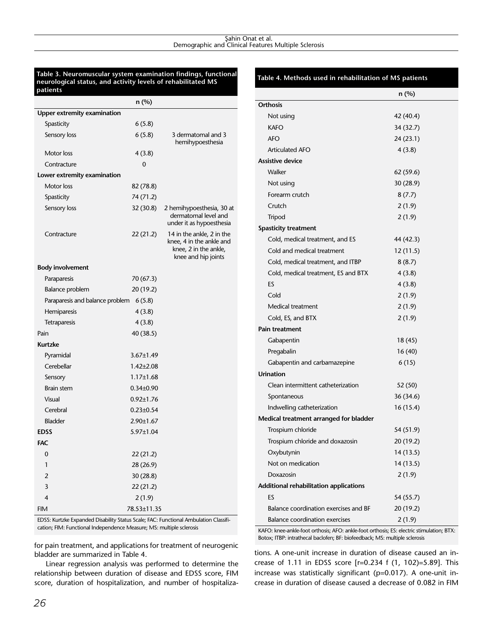#### Sahin Onat et al. Demographic and Clinical Features Multiple Sclerosis

#### **Table 3. Neuromuscular system examination findings, functional neurological status, and activity levels of rehabilitated MS patients**

|                                 | n (%)           |                                                                                                       |
|---------------------------------|-----------------|-------------------------------------------------------------------------------------------------------|
| Upper extremity examination     |                 |                                                                                                       |
| Spasticity                      | 6(5.8)          |                                                                                                       |
| Sensory loss                    | 6(5.8)          | 3 dermatomal and 3<br>hemihypoesthesia                                                                |
| Motor loss                      | 4(3.8)          |                                                                                                       |
| Contracture                     | 0               |                                                                                                       |
| Lower extremity examination     |                 |                                                                                                       |
| Motor loss                      | 82 (78.8)       |                                                                                                       |
| Spasticity                      | 74 (71.2)       |                                                                                                       |
| Sensory loss                    | 32 (30.8)       | 2 hemihypoesthesia, 30 at<br>dermatomal level and<br>under it as hypoesthesia                         |
| Contracture                     | 22(21.2)        | 14 in the ankle, 2 in the<br>knee, 4 in the ankle and<br>knee, 2 in the ankle,<br>knee and hip joints |
| <b>Body involvement</b>         |                 |                                                                                                       |
| Paraparesis                     | 70 (67.3)       |                                                                                                       |
| <b>Balance problem</b>          | 20 (19.2)       |                                                                                                       |
| Paraparesis and balance problem | 6(5.8)          |                                                                                                       |
| Hemiparesis                     | 4(3.8)          |                                                                                                       |
| Tetraparesis                    | 4(3.8)          |                                                                                                       |
| Pain                            | 40 (38.5)       |                                                                                                       |
| <b>Kurtzke</b>                  |                 |                                                                                                       |
| Pyramidal                       | $3.67 \pm 1.49$ |                                                                                                       |
| Cerebellar                      | $1.42 \pm 2.08$ |                                                                                                       |
| Sensory                         | $1.17 \pm 1.68$ |                                                                                                       |
| <b>Brain stem</b>               | $0.34 \pm 0.90$ |                                                                                                       |
| Visual                          | $0.92 \pm 1.76$ |                                                                                                       |
| Cerebral                        | $0.23 \pm 0.54$ |                                                                                                       |
| <b>Bladder</b>                  | 2.90±1.67       |                                                                                                       |
| <b>EDSS</b>                     | 5.97±1.04       |                                                                                                       |
| <b>FAC</b>                      |                 |                                                                                                       |
| $\overline{0}$                  | 22 (21.2)       |                                                                                                       |
| 1                               | 28 (26.9)       |                                                                                                       |
| $\overline{2}$                  | 30(28.8)        |                                                                                                       |
| 3                               | 22(21.2)        |                                                                                                       |
| $\overline{4}$                  | 2(1.9)          |                                                                                                       |
| <b>FIM</b>                      | 78.53±11.35     |                                                                                                       |

EDSS: Kurtzke Expanded Disability Status Scale; FAC: Functional Ambulation Classification; FIM: Functional Independence Measure; MS: multiple sclerosis

for pain treatment, and applications for treatment of neurogenic bladder are summarized in Table 4.

Linear regression analysis was performed to determine the relationship between duration of disease and EDSS score, FIM score, duration of hospitalization, and number of hospitaliza-

# **Table 4. Methods used in rehabilitation of MS patients**

|                                        | $n \rightarrow p$ |  |
|----------------------------------------|-------------------|--|
|                                        | $n$ (%)           |  |
| Orthosis                               |                   |  |
| Not using                              | 42 (40.4)         |  |
| <b>KAFO</b>                            | 34 (32.7)         |  |
| AFO                                    | 24 (23.1)         |  |
| <b>Articulated AFO</b>                 | 4(3.8)            |  |
| <b>Assistive device</b>                |                   |  |
| Walker                                 | 62 (59.6)         |  |
| Not using                              | 30(28.9)          |  |
| Forearm crutch                         | 8(7.7)            |  |
| Crutch                                 | 2(1.9)            |  |
| Tripod                                 | 2(1.9)            |  |
| <b>Spasticity treatment</b>            |                   |  |
| Cold, medical treatment, and ES        | 44 (42.3)         |  |
| Cold and medical treatment             | 12(11.5)          |  |
| Cold, medical treatment, and ITBP      | 8(8.7)            |  |
| Cold, medical treatment, ES and BTX    | 4(3.8)            |  |
| ES                                     | 4(3.8)            |  |
| Cold                                   | 2(1.9)            |  |
| Medical treatment                      | 2(1.9)            |  |
| Cold, ES, and BTX                      | 2(1.9)            |  |
| Pain treatment                         |                   |  |
| Gabapentin                             | 18 (45)           |  |
| Pregabalin                             | 16(40)            |  |
| Gabapentin and carbamazepine           | 6(15)             |  |
| <b>Urination</b>                       |                   |  |
| Clean intermittent catheterization     | 52 (50)           |  |
| Spontaneous                            | 36 (34.6)         |  |
| Indwelling catheterization             | 16(15.4)          |  |
| Medical treatment arranged for bladder |                   |  |
| Trospium chloride                      | 54 (51.9)         |  |
| Trospium chloride and doxazosin        | 20 (19.2)         |  |
| Oxybutynin                             | 14 (13.5)         |  |
| Not on medication                      | 14(13.5)          |  |
| Doxazosin                              | 2(1.9)            |  |
| Additional rehabilitation applications |                   |  |
| ES                                     | 54 (55.7)         |  |
| Balance coordination exercises and BF  | 20 (19.2)         |  |
| <b>Balance coordination exercises</b>  | 2(1.9)            |  |

KAFO: knee-ankle-foot orthosis; AFO: ankle-foot orthosis; ES: electric stimulation; BTX: Botox; ITBP: intrathecal baclofen; BF: biofeedback; MS: multiple sclerosis

tions. A one-unit increase in duration of disease caused an increase of 1.11 in EDSS score [r=0.234 f (1, 102)=5.89]. This increase was statistically significant (p=0.017). A one-unit increase in duration of disease caused a decrease of 0.082 in FIM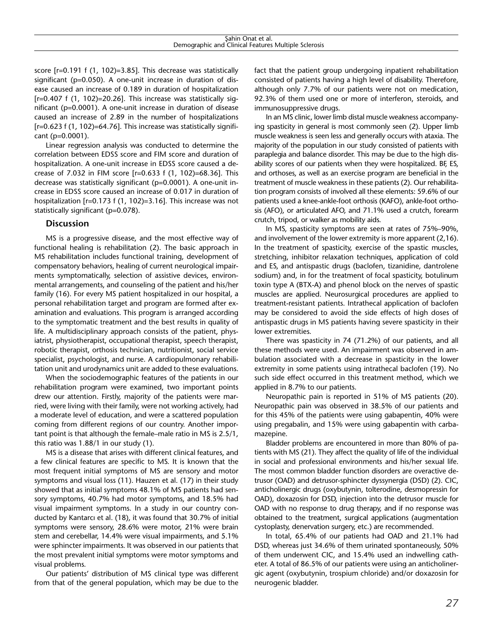score [r=0.191 f (1, 102)=3.85]. This decrease was statistically significant (p=0.050). A one-unit increase in duration of disease caused an increase of 0.189 in duration of hospitalization [r=0.407 f (1, 102)=20.26]. This increase was statistically significant (p=0.0001). A one-unit increase in duration of disease caused an increase of 2.89 in the number of hospitalizations [r=0.623 f (1, 102)=64.76]. This increase was statistically significant (p=0.0001).

Linear regression analysis was conducted to determine the correlation between EDSS score and FIM score and duration of hospitalization. A one-unit increase in EDSS score caused a decrease of 7.032 in FIM score [r=0.633 f (1, 102)=68.36]. This decrease was statistically significant (p=0.0001). A one-unit increase in EDSS score caused an increase of 0.017 in duration of hospitalization [r=0.173 f (1, 102)=3.16]. This increase was not statistically significant (p=0.078).

## **Discussion**

MS is a progressive disease, and the most effective way of functional healing is rehabilitation (2). The basic approach in MS rehabilitation includes functional training, development of compensatory behaviors, healing of current neurological impairments symptomatically, selection of assistive devices, environmental arrangements, and counseling of the patient and his/her family (16). For every MS patient hospitalized in our hospital, a personal rehabilitation target and program are formed after examination and evaluations. This program is arranged according to the symptomatic treatment and the best results in quality of life. A multidisciplinary approach consists of the patient, physiatrist, physiotherapist, occupational therapist, speech therapist, robotic therapist, orthosis technician, nutritionist, social service specialist, psychologist, and nurse. A cardiopulmonary rehabilitation unit and urodynamics unit are added to these evaluations.

When the sociodemographic features of the patients in our rehabilitation program were examined, two important points drew our attention. Firstly, majority of the patients were married, were living with their family, were not working actively, had a moderate level of education, and were a scattered population coming from different regions of our country. Another important point is that although the female–male ratio in MS is 2.5/1, this ratio was 1.88/1 in our study (1).

MS is a disease that arises with different clinical features, and a few clinical features are specific to MS. It is known that the most frequent initial symptoms of MS are sensory and motor symptoms and visual loss (11). Hauzen et al. (17) in their study showed that as initial symptoms 48.1% of MS patients had sensory symptoms, 40.7% had motor symptoms, and 18.5% had visual impairment symptoms. In a study in our country conducted by Kantarcı et al. (18), it was found that 30.7% of initial symptoms were sensory, 28.6% were motor, 21% were brain stem and cerebellar, 14.4% were visual impairments, and 5.1% were sphincter impairments. It was observed in our patients that the most prevalent initial symptoms were motor symptoms and visual problems.

Our patients' distribution of MS clinical type was different from that of the general population, which may be due to the

fact that the patient group undergoing inpatient rehabilitation consisted of patients having a high level of disability. Therefore, although only 7.7% of our patients were not on medication, 92.3% of them used one or more of interferon, steroids, and immunosuppressive drugs.

In an MS clinic, lower limb distal muscle weakness accompanying spasticity in general is most commonly seen (2). Upper limb muscle weakness is seen less and generally occurs with ataxia. The majority of the population in our study consisted of patients with paraplegia and balance disorder. This may be due to the high disability scores of our patients when they were hospitalized. BF, ES, and orthoses, as well as an exercise program are beneficial in the treatment of muscle weakness in these patients (2). Our rehabilitation program consists of involved all these elements: 59.6% of our patients used a knee-ankle-foot orthosis (KAFO), ankle-foot orthosis (AFO), or articulated AFO, and 71.1% used a crutch, forearm crutch, tripod, or walker as mobility aids.

In MS, spasticity symptoms are seen at rates of 75%–90%, and involvement of the lower extremity is more apparent (2,16). In the treatment of spasticity, exercise of the spastic muscles, stretching, inhibitor relaxation techniques, application of cold and ES, and antispastic drugs (baclofen, tizanidine, dantrolene sodium) and, in for the treatment of focal spasticity, botulinum toxin type A (BTX-A) and phenol block on the nerves of spastic muscles are applied. Neurosurgical procedures are applied to treatment-resistant patients. Intrathecal application of baclofen may be considered to avoid the side effects of high doses of antispastic drugs in MS patients having severe spasticity in their lower extremities.

There was spasticity in 74 (71.2%) of our patients, and all these methods were used. An impairment was observed in ambulation associated with a decrease in spasticity in the lower extremity in some patients using intrathecal baclofen (19). No such side effect occurred in this treatment method, which we applied in 8.7% to our patients.

Neuropathic pain is reported in 51% of MS patients (20). Neuropathic pain was observed in 38.5% of our patients and for this 45% of the patients were using gabapentin, 40% were using pregabalin, and 15% were using gabapentin with carbamazepine.

Bladder problems are encountered in more than 80% of patients with MS (21). They affect the quality of life of the individual in social and professional environments and his/her sexual life. The most common bladder function disorders are overactive detrusor (OAD) and detrusor-sphincter dyssynergia (DSD) (2). CIC, anticholinergic drugs (oxybutynin, tolterodine, desmopressin for OAD), doxazosin for DSD, injection into the detrusor muscle for OAD with no response to drug therapy, and if no response was obtained to the treatment, surgical applications (augmentation cystoplasty, denervation surgery, etc.) are recommended.

In total, 65.4% of our patients had OAD and 21.1% had DSD, whereas just 34.6% of them urinated spontaneously, 50% of them underwent CIC, and 15.4% used an indwelling catheter. A total of 86.5% of our patients were using an anticholinergic agent (oxybutynin, trospium chloride) and/or doxazosin for neurogenic bladder.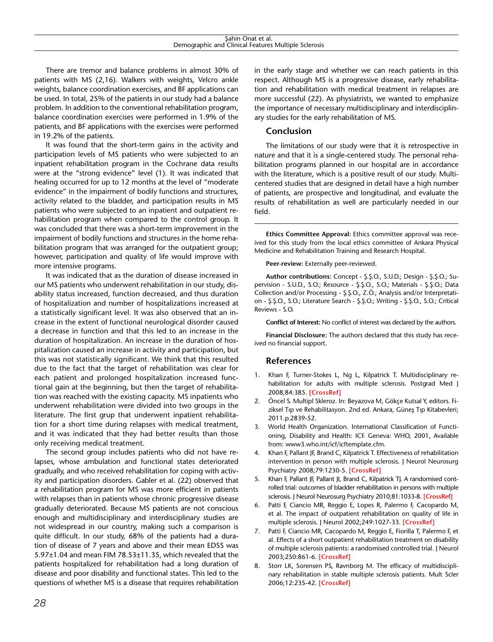There are tremor and balance problems in almost 30% of patients with MS (2,16). Walkers with weights, Velcro ankle weights, balance coordination exercises, and BF applications can be used. In total, 25% of the patients in our study had a balance problem. In addition to the conventional rehabilitation program, balance coordination exercises were performed in 1.9% of the patients, and BF applications with the exercises were performed in 19.2% of the patients.

It was found that the short-term gains in the activity and participation levels of MS patients who were subjected to an inpatient rehabilitation program in the Cochrane data results were at the "strong evidence" level (1). It was indicated that healing occurred for up to 12 months at the level of "moderate evidence" in the impairment of bodily functions and structures, activity related to the bladder, and participation results in MS patients who were subjected to an inpatient and outpatient rehabilitation program when compared to the control group. It was concluded that there was a short-term improvement in the impairment of bodily functions and structures in the home rehabilitation program that was arranged for the outpatient group; however, participation and quality of life would improve with more intensive programs.

It was indicated that as the duration of disease increased in our MS patients who underwent rehabilitation in our study, disability status increased, function decreased, and thus duration of hospitalization and number of hospitalizations increased at a statistically significant level. It was also observed that an increase in the extent of functional neurological disorder caused a decrease in function and that this led to an increase in the duration of hospitalization. An increase in the duration of hospitalization caused an increase in activity and participation, but this was not statistically significant. We think that this resulted due to the fact that the target of rehabilitation was clear for each patient and prolonged hospitalization increased functional gain at the beginning, but then the target of rehabilitation was reached with the existing capacity. MS inpatients who underwent rehabilitation were divided into two groups in the literature. The first grup that underwent inpatient rehabilitation for a short time during relapses with medical treatment, and it was indicated that they had better results than those only receiving medical treatment.

The second group includes patients who did not have relapses, whose ambulation and functional states deteriorated gradually, and who received rehabilitation for coping with activity and participation disorders. Gabler et al. (22) observed that a rehabilitation program for MS was more efficient in patients with relapses than in patients whose chronic progressive disease gradually deteriorated. Because MS patients are not conscious enough and multidisciplinary and interdisciplinary studies are not widespread in our country, making such a comparison is quite difficult. In our study, 68% of the patients had a duration of disease of 7 years and above and their mean EDSS was 5.97±1.04 and mean FIM 78.53±11.35, which revealed that the patients hospitalized for rehabilitation had a long duration of disease and poor disability and functional states. This led to the questions of whether MS is a disease that requires rehabilitation

in the early stage and whether we can reach patients in this respect. Although MS is a progressive disease, early rehabilitation and rehabilitation with medical treatment in relapses are more successful (22). As physiatrists, we wanted to emphasize the importance of necessary multidisciplinary and interdisciplinary studies for the early rehabilitation of MS.

# **Conclusion**

The limitations of our study were that it is retrospective in nature and that it is a single-centered study. The personal rehabilitation programs planned in our hospital are in accordance with the literature, which is a positive result of our study. Multicentered studies that are designed in detail have a high number of patients, are prospective and longitudinal, and evaluate the results of rehabilitation as well are particularly needed in our field.

**Ethics Committee Approval:** Ethics committee approval was received for this study from the local ethics committee of Ankara Physical Medicine and Rehabilitation Training and Research Hospital.

**Peer-review:** Externally peer-reviewed.

**Author contributions:** Concept - Ş.Ş.O., S.U.D.; Design - Ş.Ş.O.; Supervision - S.U.D., S.O.; Resource - Ş.Ş.O., S.O.; Materials - Ş.Ş.O.; Data Collection and/or Processing - Ş.Ş.O., Z.Ö.; Analysis and/or Interpretation - Ş.Ş.O., S.O.; Literature Search - Ş.Ş.O.; Writing - Ş.Ş.O., S.O.; Critical Reviews - S.O.

**Conflict of Interest:** No conflict of interest was declared by the authors.

**Financial Disclosure:** The authors declared that this study has received no financial support.

# **References**

- 1. Khan F, Turner-Stokes L, Ng L, Kilpatrick T. Multidisciplinary rehabilitation for adults with multiple sclerosis. Postgrad Med J 2008;84:385. **[\[CrossRef\]](http://dx.doi.org/10.1136/jnnp.2007.127563)**
- 2. Öncel S. Multipl Skleroz. In: Beyazova M, Gökçe Kutsal Y, editors. Fiziksel Tıp ve Rehabilitasyon. 2nd ed. Ankara, Güneş Tıp Kitabevleri; 2011.p.2839-52.
- 3. World Health Organization. International Classification of Functioning, Disability and Health: ICF. Geneva: WHO, 2001, Available from: www3.who.int/icf/icftemplate.cfm.
- 4. Khan F, Pallant JF, Brand C, Kilpatrick T. Effectiveness of rehabilitation intervention in person with multiple sclerosis. J Neurol Neurosurg Psychiatry 2008;79:1230-5. **[\[CrossRef\]](http://dx.doi.org/10.1136/jnnp.2007.133777)**
- 5. Khan F, Pallant JF, Pallant JI, Brand C, Kilpatrick TJ. A randomised controlled trial: outcomes of bladder rehabilitation in persons with multiple sclerosis. J Neurol Neurosurg Psychiatry 2010;81:1033-8. **[\[CrossRef\]](http://dx.doi.org/10.1136/jnnp.2010.206623)**
- 6. Patti F, Ciancio MR, Reggio E, Lopes R, Palermo F, Cacopardo M, et al. The impact of outpatient rehabilitation on quality of life in multiple sclerosis. J Neurol 2002;249:1027-33. **[\[CrossRef\]](http://dx.doi.org/10.1007/s00415-002-0778-1)**
- 7. Patti F, Ciancio MR, Cacopardo M, Reggio E, Fiorilla T, Palermo F, et al. Effects of a short outpatient rehabilitation treatment on disability of multiple sclerosis patients: a randomised controlled trial. J Neurol 2003;250:861-6. **[\[CrossRef\]](http://dx.doi.org/10.1007/s00415-003-1097-x)**
- 8. Storr LK, Sorensen PS, Ravnborg M. The efficacy of multidisciplinary rehabilitation in stable multiple sclerosis patients. Mult Scler 2006;12:235-42. **[\[CrossRef\]](http://dx.doi.org/10.1191/135248506ms1250oa)**